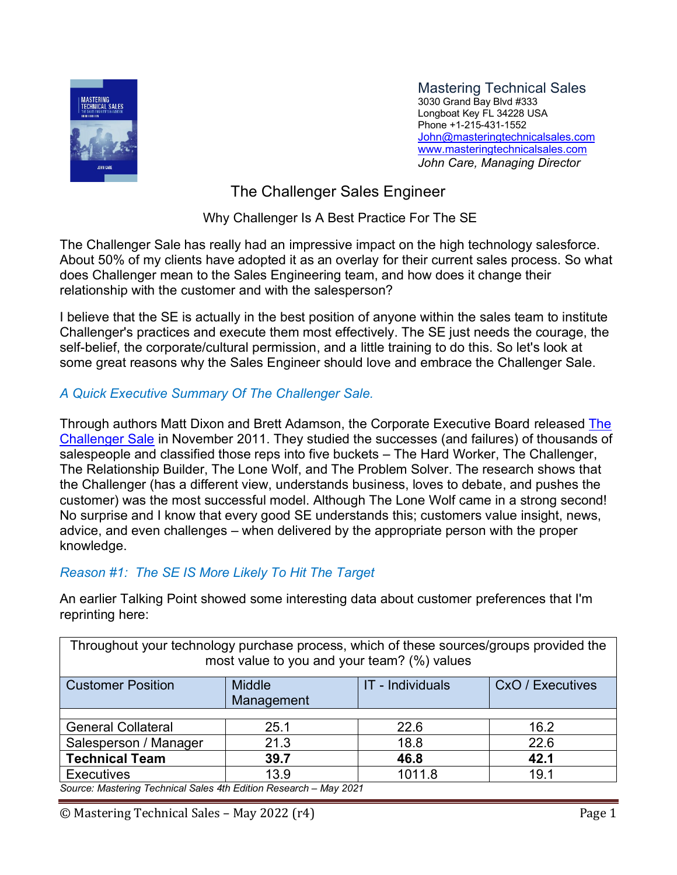

Mastering Technical Sales 3030 Grand Bay Blvd #333 Longboat Key FL 34228 USA Phone +1-215-431-1552 [John@masteringtechnicalsales.com](mailto:john@masteringtechnicalsales.com) [www.masteringtechnicalsales.com](http://www.masteringtechnicalsales.com/) *John Care, Managing Director*

The Challenger Sales Engineer

Why Challenger Is A Best Practice For The SE

The Challenger Sale has really had an impressive impact on the high technology salesforce. About 50% of my clients have adopted it as an overlay for their current sales process. So what does Challenger mean to the Sales Engineering team, and how does it change their relationship with the customer and with the salesperson?

I believe that the SE is actually in the best position of anyone within the sales team to institute Challenger's practices and execute them most effectively. The SE just needs the courage, the self-belief, the corporate/cultural permission, and a little training to do this. So let's look at some great reasons why the Sales Engineer should love and embrace the Challenger Sale.

## *A Quick Executive Summary Of The Challenger Sale.*

Through authors Matt Dixon and Brett Adamson, the Corporate Executive Board released The [Challenger Sale](http://www.amazon.com/gp/product/B0052REP7K/ref=as_li_tl?ie=UTF8&camp=1789&creative=390957&creativeASIN=B0052REP7K&linkCode=as2&tag=fccoppau17mso-20&linkId=4ZLT2UEVAOTDGC2L) in November 2011. They studied the successes (and failures) of thousands of salespeople and classified those reps into five buckets – The Hard Worker, The Challenger, The Relationship Builder, The Lone Wolf, and The Problem Solver. The research shows that the Challenger (has a different view, understands business, loves to debate, and pushes the customer) was the most successful model. Although The Lone Wolf came in a strong second! No surprise and I know that every good SE understands this; customers value insight, news, advice, and even challenges – when delivered by the appropriate person with the proper knowledge.

# *Reason #1: The SE IS More Likely To Hit The Target*

An earlier Talking Point showed some interesting data about customer preferences that I'm reprinting here:

Throughout your technology purchase process, which of these sources/groups provided the most value to you and your team? (%) values

| <b>Customer Position</b>                                          | <b>Middle</b> | IT - Individuals | CxO / Executives |
|-------------------------------------------------------------------|---------------|------------------|------------------|
|                                                                   |               |                  |                  |
|                                                                   | Management    |                  |                  |
|                                                                   |               |                  |                  |
| <b>General Collateral</b>                                         | 25.1          | 22.6             | 16.2             |
|                                                                   |               |                  |                  |
| Salesperson / Manager                                             | 21.3          | 18.8             | 22.6             |
| <b>Technical Team</b>                                             | 39.7          | 46.8             | 42.1             |
| <b>Executives</b>                                                 | 13.9          | 1011.8           | 19.1             |
| Source: Mastering Technical Sales 4th Edition Research - May 2021 |               |                  |                  |

© Mastering Technical Sales – May 2022 (r4) Page 1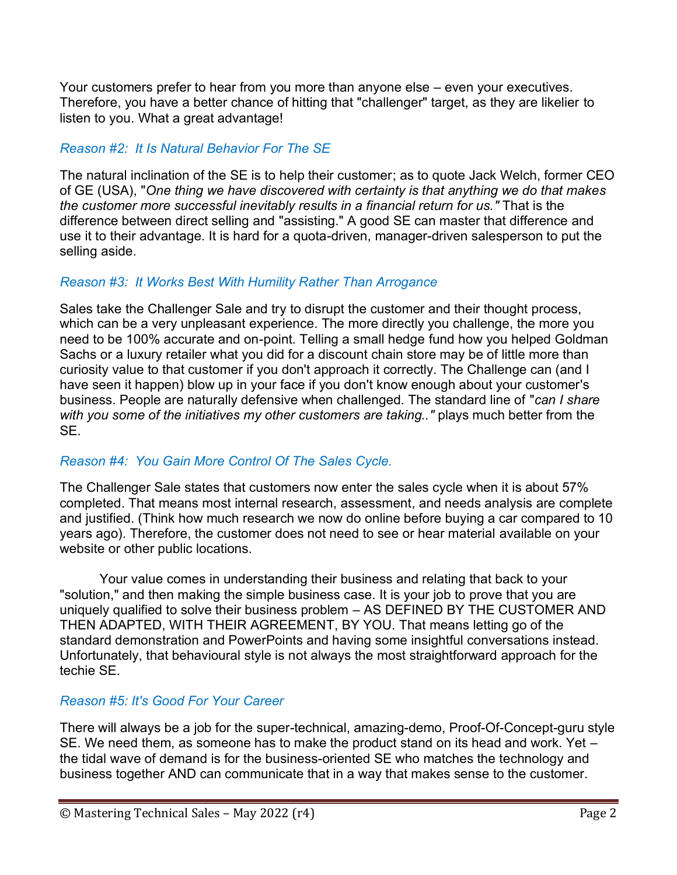Your customers prefer to hear from you more than anyone else – even your executives. Therefore, you have a better chance of hitting that "challenger" target, as they are likelier to listen to you. What a great advantage!

## *Reason #2: It Is Natural Behavior For The SE*

The natural inclination of the SE is to help their customer; as to quote Jack Welch, former CEO of GE (USA), "*One thing we have discovered with certainty is that anything we do that makes the customer more successful inevitably results in a financial return for us."* That is the difference between direct selling and "assisting." A good SE can master that difference and use it to their advantage. It is hard for a quota-driven, manager-driven salesperson to put the selling aside.

### *Reason #3: It Works Best With Humility Rather Than Arrogance*

Sales take the Challenger Sale and try to disrupt the customer and their thought process, which can be a very unpleasant experience. The more directly you challenge, the more you need to be 100% accurate and on-point. Telling a small hedge fund how you helped Goldman Sachs or a luxury retailer what you did for a discount chain store may be of little more than curiosity value to that customer if you don't approach it correctly. The Challenge can (and I have seen it happen) blow up in your face if you don't know enough about your customer's business. People are naturally defensive when challenged. The standard line of "*can I share with you some of the initiatives my other customers are taking.."* plays much better from the SE.

### *Reason #4: You Gain More Control Of The Sales Cycle.*

The Challenger Sale states that customers now enter the sales cycle when it is about 57% completed. That means most internal research, assessment, and needs analysis are complete and justified. (Think how much research we now do online before buying a car compared to 10 years ago). Therefore, the customer does not need to see or hear material available on your website or other public locations.

Your value comes in understanding their business and relating that back to your "solution," and then making the simple business case. It is your job to prove that you are uniquely qualified to solve their business problem – AS DEFINED BY THE CUSTOMER AND THEN ADAPTED, WITH THEIR AGREEMENT, BY YOU. That means letting go of the standard demonstration and PowerPoints and having some insightful conversations instead. Unfortunately, that behavioural style is not always the most straightforward approach for the techie SE.

### *Reason #5: It's Good For Your Career*

There will always be a job for the super-technical, amazing-demo, Proof-Of-Concept-guru style SE. We need them, as someone has to make the product stand on its head and work. Yet – the tidal wave of demand is for the business-oriented SE who matches the technology and business together AND can communicate that in a way that makes sense to the customer.